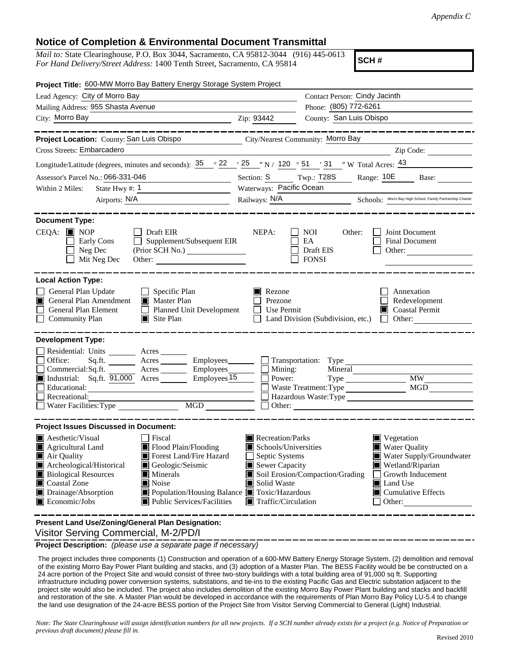## **Notice of Completion & Environmental Document Transmittal**

*Mail to:* State Clearinghouse, P.O. Box 3044, Sacramento, CA 95812-3044 (916) 445-0613 *For Hand Delivery/Street Address:* 1400 Tenth Street, Sacramento, CA 95814

**SCH #**

| Project Title: 600-MW Morro Bay Battery Energy Storage System Project                                                                                                                                                                                                                                                                                                          |                                                                                                                                                                                     |                                                                                                                                                                                                               |                                                                                                                                                                             |  |  |
|--------------------------------------------------------------------------------------------------------------------------------------------------------------------------------------------------------------------------------------------------------------------------------------------------------------------------------------------------------------------------------|-------------------------------------------------------------------------------------------------------------------------------------------------------------------------------------|---------------------------------------------------------------------------------------------------------------------------------------------------------------------------------------------------------------|-----------------------------------------------------------------------------------------------------------------------------------------------------------------------------|--|--|
| Lead Agency: City of Morro Bay                                                                                                                                                                                                                                                                                                                                                 |                                                                                                                                                                                     | Contact Person: Cindy Jacinth                                                                                                                                                                                 |                                                                                                                                                                             |  |  |
| Mailing Address: 955 Shasta Avenue                                                                                                                                                                                                                                                                                                                                             |                                                                                                                                                                                     | Phone: (805) 772-6261                                                                                                                                                                                         |                                                                                                                                                                             |  |  |
| City: Morro Bay Zip: 93442                                                                                                                                                                                                                                                                                                                                                     |                                                                                                                                                                                     | County: San Luis Obispo                                                                                                                                                                                       |                                                                                                                                                                             |  |  |
|                                                                                                                                                                                                                                                                                                                                                                                |                                                                                                                                                                                     |                                                                                                                                                                                                               | ______________                                                                                                                                                              |  |  |
| Project Location: County: San Luis Obispo City/Nearest Community: Morro Bay                                                                                                                                                                                                                                                                                                    |                                                                                                                                                                                     |                                                                                                                                                                                                               |                                                                                                                                                                             |  |  |
| Cross Streets: Embarcadero                                                                                                                                                                                                                                                                                                                                                     |                                                                                                                                                                                     |                                                                                                                                                                                                               | Zip Code:                                                                                                                                                                   |  |  |
| Longitude/Latitude (degrees, minutes and seconds): $35^\circ$ 22 $\prime$ 25 $\prime$ N / 120 $\circ$ 51 $\prime$ 31 $\prime$ W Total Acres: $43^\circ$                                                                                                                                                                                                                        |                                                                                                                                                                                     |                                                                                                                                                                                                               |                                                                                                                                                                             |  |  |
| Assessor's Parcel No.: 066-331-046<br>the control of the control of the control                                                                                                                                                                                                                                                                                                |                                                                                                                                                                                     | Section: S Twp.: T28S                                                                                                                                                                                         | Range: 10E<br>Base:                                                                                                                                                         |  |  |
| Within 2 Miles:                                                                                                                                                                                                                                                                                                                                                                |                                                                                                                                                                                     | Waterways: Pacific Ocean                                                                                                                                                                                      |                                                                                                                                                                             |  |  |
| Airports: N/A                                                                                                                                                                                                                                                                                                                                                                  |                                                                                                                                                                                     |                                                                                                                                                                                                               | Railways: N/A Schools: Morro Bay High School, Family Partnership Charter                                                                                                    |  |  |
|                                                                                                                                                                                                                                                                                                                                                                                |                                                                                                                                                                                     |                                                                                                                                                                                                               |                                                                                                                                                                             |  |  |
| <b>Document Type:</b><br>$CEQA: \blacksquare$ NOP<br>│ │ Draft EIR<br>Supplement/Subsequent EIR<br>Early Cons<br>Neg Dec<br>Mit Neg Dec<br>Other:                                                                                                                                                                                                                              | NEPA:                                                                                                                                                                               | <b>NOI</b><br>Other:<br>EA<br>Draft EIS<br><b>FONSI</b>                                                                                                                                                       | Joint Document<br>Final Document<br>Other:                                                                                                                                  |  |  |
| <b>Local Action Type:</b><br>General Plan Update<br>$\Box$ Specific Plan<br>General Plan Amendment<br>Master Plan<br>П<br>General Plan Element<br>Planned Unit Development<br>$\Box$ Community Plan<br>$\Box$ Site Plan                                                                                                                                                        | Rezone<br>Prezone<br>Use Permit<br>$\perp$                                                                                                                                          | Land Division (Subdivision, etc.)                                                                                                                                                                             | Annexation<br>Redevelopment<br>Coastal Permit<br>$\Box$ Other:                                                                                                              |  |  |
| <b>Development Type:</b>                                                                                                                                                                                                                                                                                                                                                       |                                                                                                                                                                                     |                                                                                                                                                                                                               |                                                                                                                                                                             |  |  |
| Residential: Units _______ Acres ______<br>Office:<br>Sq.fit.<br>Acres Employees<br>Commercial:Sq.ft.<br>Industrial: Sq.ft. 91,000 Acres Employees 15<br>Educational:<br>Recreational:<br>Water Facilities: Type                                                                                                                                                               | Power:<br>$\mathsf{L}$<br>MGD NGD<br>Other:                                                                                                                                         | Acres __________ Employees________ __ Transportation: Type _____________________<br>$\Box$ Mining:<br>Mineral<br>Waste Treatment: Type<br>Hazardous Waste:Type<br><u> 1989 - Jan Samuel Barbara, martin d</u> | MGD                                                                                                                                                                         |  |  |
| <b>Project Issues Discussed in Document:</b>                                                                                                                                                                                                                                                                                                                                   |                                                                                                                                                                                     |                                                                                                                                                                                                               |                                                                                                                                                                             |  |  |
| $\blacksquare$ Aesthetic/Visual<br>Fiscal<br>Flood Plain/Flooding<br>Agricultural Land<br>Forest Land/Fire Hazard<br>Air Quality<br>Archeological/Historical<br>Geologic/Seismic<br><b>Biological Resources</b><br>$\blacksquare$ Minerals<br>Coastal Zone<br>$\blacksquare$ Noise<br>Drainage/Absorption<br>$\blacksquare$ Economic/Jobs<br><b>Public Services/Facilities</b> | Recreation/Parks<br>Schools/Universities<br>Septic Systems<br>Sewer Capacity<br>Solid Waste<br>■ Population/Housing Balance ■ Toxic/Hazardous<br>$\blacksquare$ Traffic/Circulation | Soil Erosion/Compaction/Grading                                                                                                                                                                               | Vegetation<br><b>Water Quality</b><br>Water Supply/Groundwater<br>Wetland/Riparian<br>Growth Inducement<br><b>■</b> Land Use<br>$\blacksquare$ Cumulative Effects<br>Other: |  |  |
| Present Land Use/Zoning/General Plan Designation:                                                                                                                                                                                                                                                                                                                              |                                                                                                                                                                                     |                                                                                                                                                                                                               |                                                                                                                                                                             |  |  |

Visitor Serving Commercial, M-2/PD/I

**Project Description:** *(please use a separate page if necessary)*

 The project includes three components (1) Construction and operation of a 600-MW Battery Energy Storage System, (2) demolition and removal of the existing Morro Bay Power Plant building and stacks, and (3) adoption of a Master Plan. The BESS Facility would be be constructed on a 24 acre portion of the Project Site and would consist of three two-story buildings with a total building area of 91,000 sq ft. Supporting infrastructure including power conversion systems, substations, and tie-ins to the existing Pacific Gas and Electric substation adjacent to the project site would also be included. The project also includes demolition of the existing Morro Bay Power Plant building and stacks and backfill and restoration of the site. A Master Plan would be developed in accordance with the requirements of Plan Morro Bay Policy LU-5.4 to change the land use designation of the 24-acre BESS portion of the Project Site from Visitor Serving Commercial to General (Light) Industrial.

*Note: The State Clearinghouse will assign identification numbers for all new projects. If a SCH number already exists for a project (e.g. Notice of Preparation or previous draft document) please fill in.*